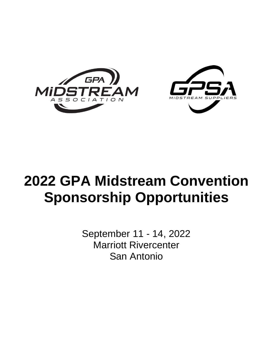



# **2022 GPA Midstream Convention Sponsorship Opportunities**

September 11 - 14, 2022 Marriott Rivercenter San Antonio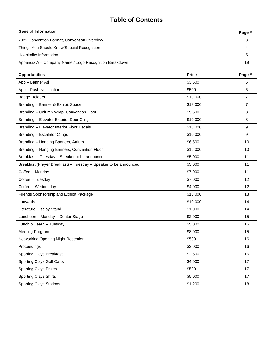# **Table of Contents**

| <b>General Information</b>                             | Page # |
|--------------------------------------------------------|--------|
| 2022 Convention Format, Convention Overview            |        |
| Things You Should Know/Special Recognition             |        |
| Hospitality Information                                |        |
| Appendix A – Company Name / Logo Recognition Breakdown | 19     |

| <b>Opportunities</b>                                             | <b>Price</b> | Page #         |
|------------------------------------------------------------------|--------------|----------------|
| App - Banner Ad                                                  | \$3,500      | 6              |
| App - Push Notification                                          | \$500        | 6              |
| <b>Badge Holders</b>                                             | \$10,000     | $\overline{f}$ |
| Branding - Banner & Exhibit Space                                | \$18,000     | $\overline{7}$ |
| Branding - Column Wrap, Convention Floor                         | \$5,500      | 8              |
| Branding - Elevator Exterior Door Cling                          | \$10,000     | 8              |
| <b>Branding - Elevator Interior Floor Decals</b>                 | \$18,000     | 9              |
| Branding - Escalator Clings                                      | \$10,000     | 9              |
| Branding - Hanging Banners, Atrium                               | \$6,500      | 10             |
| Branding - Hanging Banners, Convention Floor                     | \$15,000     | 10             |
| Breakfast - Tuesday - Speaker to be announced                    | \$5,000      | 11             |
| Breakfast (Prayer Breakfast) - Tuesday - Speaker to be announced | \$3,000      | 11             |
| Coffee Monday                                                    | \$7,000      | 11             |
| Coffee - Tuesday                                                 | \$7,000      | 12             |
| Coffee - Wednesday                                               | \$4,000      | 12             |
| Friends Sponsorship and Exhibit Package                          | \$18,000     | 13             |
| Lanyards                                                         | \$10,000     | 44             |
| Literature Display Stand                                         | \$1,000      | 14             |
| Luncheon - Monday - Center Stage                                 | \$2,000      | 15             |
| Lunch & Learn - Tuesday                                          | \$5,000      | 15             |
| <b>Meeting Program</b>                                           | \$8,000      | 15             |
| Networking Opening Night Reception                               | \$500        | 16             |
| Proceedings                                                      | \$3,000      | 16             |
| <b>Sporting Clays Breakfast</b>                                  | \$2,500      | 16             |
| Sporting Clays Golf Carts                                        | \$4,000      | 17             |
| <b>Sporting Clays Prizes</b>                                     | \$500        | 17             |
| <b>Sporting Clays Shirts</b>                                     | \$5,000      | 17             |
| <b>Sporting Clays Stations</b>                                   | \$1,200      | 18             |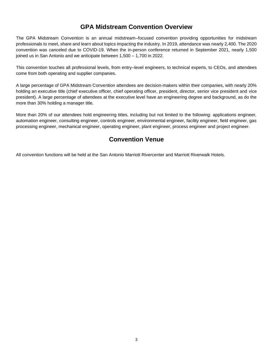# **GPA Midstream Convention Overview**

The GPA Midstream Convention is an annual midstream–focused convention providing opportunities for midstream professionals to meet, share and learn about topics impacting the industry. In 2019, attendance was nearly 2,400. The 2020 convention was canceled due to COVID-19. When the in-person conference returned in September 2021, nearly 1,500 joined us in San Antonio and we anticipate between 1,500 – 1,700 in 2022.

This convention touches all professional levels, from entry–level engineers, to technical experts, to CEOs, and attendees come from both operating and supplier companies.

A large percentage of GPA Midstream Convention attendees are decision-makers within their companies, with nearly 20% holding an executive title (chief executive officer, chief operating officer, president, director, senior vice president and vice president). A large percentage of attendees at the executive level have an engineering degree and background, as do the more than 30% holding a manager title.

More than 20% of our attendees hold engineering titles, including but not limited to the following: applications engineer, automation engineer, consulting engineer, controls engineer, environmental engineer, facility engineer, field engineer, gas processing engineer, mechanical engineer, operating engineer, plant engineer, process engineer and project engineer.

# **Convention Venue**

All convention functions will be held at the San Antonio Marriott Rivercenter and Marriott Riverwalk Hotels.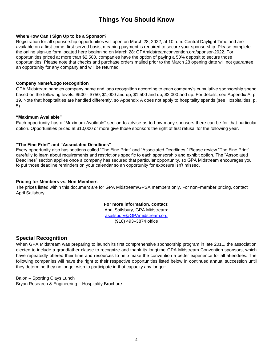# **Things You Should Know**

#### **When/How Can I Sign Up to be a Sponsor?**

Registration for all sponsorship opportunities will open on March 28, 2022, at 10 a.m. Central Daylight Time and are available on a first-come, first-served basis, meaning payment is required to secure your sponsorship. Please complete the online sign-up form located here beginning on March 28: [GPAmidstreamconvention.org/sponsor-2022](https://gpamidstreamconvention.org/sponsor-2021). For opportunities priced at more than \$2,500, companies have the option of paying a 50% deposit to secure those opportunities. Please note that checks and purchase orders mailed prior to the March 28 opening date will not guarantee an opportunity for any company and will be returned.

#### **Company Name/Logo Recognition**

GPA Midstream handles company name and logo recognition according to each company's cumulative sponsorship spend based on the following levels: \$500 - \$750, \$1,000 and up, \$1,500 and up, \$2,000 and up. For details, see Appendix A, p. 19. Note that hospitalities are handled differently, so Appendix A does not apply to hospitality spends (see Hospitalities, p. 5).

#### **"Maximum Available"**

Each opportunity has a "Maximum Available" section to advise as to how many sponsors there can be for that particular option. Opportunities priced at \$10,000 or more give those sponsors the right of first refusal for the following year.

#### **"The Fine Print" and "Associated Deadlines"**

Every opportunity also has sections called "The Fine Print" and "Associated Deadlines." Please review "The Fine Print" carefully to learn about requirements and restrictions specific to each sponsorship and exhibit option. The "Associated Deadlines" section applies once a company has secured that particular opportunity, so GPA Midstream encourages you to put those deadline reminders on your calendar so an opportunity for exposure isn't missed.

#### **Pricing for Members vs. Non-Members**

The prices listed within this document are for GPA Midstream/GPSA members only. For non–member pricing, contact April Sailsbury.

# **For more information, contact:**

April Sailsbury, GPA Midstream: [asailsbury@GPAmidstream.org](mailto:cmyers@GPAmidstream.org) (918) 493–3874 office

# **Special Recognition**

When GPA Midstream was preparing to launch its first comprehensive sponsorship program in late 2011, the association elected to include a grandfather clause to recognize and thank its longtime GPA Midstream Convention sponsors, which have repeatedly offered their time and resources to help make the convention a better experience for all attendees. The following companies will have the right to their respective opportunities listed below in continued annual succession until they determine they no longer wish to participate in that capacity any longer:

Balon – Sporting Clays Lunch Bryan Research & Engineering – Hospitality Brochure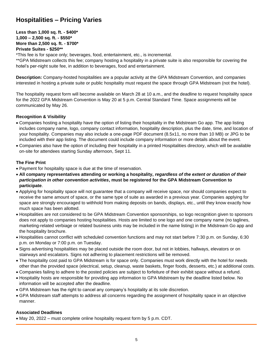# **Hospitalities – Pricing Varies**

# **Less than 1,000 sq. ft. - \$400\* 1,000 – 2,500 sq. ft. - \$550\* More than 2,500 sq. ft. - \$700\* Private Suites - \$250\*\***

\*This fee is for space only; beverages, food, entertainment, etc., is incremental.

\*\*GPA Midstream collects this fee; company hosting a hospitality in a private suite is also responsible for covering the hotel's per-night suite fee, in addition to beverages, food and entertainment.

**Description:** Company-hosted hospitalities are a popular activity at the GPA Midstream Convention, and companies interested in hosting a private suite or public hospitality must request the space through GPA Midstream (not the hotel).

The hospitality request form will become available on March 28 at 10 a.m., and the deadline to request hospitality space for the 2022 GPA Midstream Convention is May 20 at 5 p.m. Central Standard Time. Space assignments will be communicated by May 26.

# **Recognition & Visibility**

- Companies hosting a hospitality have the option of listing their hospitality in the Midstream Go app. The app listing includes company name, logo, company contact information, hospitality description, plus the date, time, and location of your hospitality. Companies may also include a one-page PDF document (8.5x11, no more than 10 MB) or JPG to be included with their app listing. The document could include company information or more details about the event.
- Companies also have the option of including their hospitality in a printed Hospitalities directory, which will be available on-site for attendees starting Sunday afternoon, Sept 11.

# **The Fine Print**

- Payment for hospitality space is due at the time of reservation.
- **All company representatives attending or working a hospitality,** *regardless of the extent or duration of their participation in other convention activities***, must be registered for the GPA Midstream Convention to participate**.
- Applying for hospitality space will not guarantee that a company will receive space, nor should companies expect to receive the same amount of space, or the same type of suite as awarded in a previous year. Companies applying for space are strongly encouraged to withhold from making deposits on bands, displays, etc., until they know exactly how much space has been allotted.
- Hospitalities are not considered to be GPA Midstream Convention sponsorships, so logo recognition given to sponsors does not apply to companies hosting hospitalities. Hosts are limited to one logo and one company name (no taglines, marketing-related verbiage or related business units may be included in the name listing) in the Midstream Go app and the hospitality brochure.
- Hospitalities cannot conflict with scheduled convention functions and may not start before 7:30 p.m. on Sunday, 6:30 p.m. on Monday or 7:00 p.m. on Tuesday.
- Signs advertising hospitalities may be placed outside the room door, but not in lobbies, hallways, elevators or on stairways and escalators. Signs not adhering to placement restrictions will be removed.
- The hospitality cost paid to GPA Midstream is for space only. Companies must work directly with the hotel for needs other than the provided space (electrical, setup, cleanup, waste baskets, finger foods, desserts, etc.) at additional costs.
- Companies failing to adhere to the posted policies are subject to forfeiture of their exhibit space without a refund.
- Hospitality hosts are responsible for providing app information to GPA Midstream by the deadline listed below. No information will be accepted after the deadline.
- GPA Midstream has the right to cancel any company's hospitality at its sole discretion.
- GPA Midstream staff attempts to address all concerns regarding the assignment of hospitality space in an objective manner.

# **Associated Deadlines**

• May 20, 2022 – must complete online hospitality request form by 5 p.m. CDT.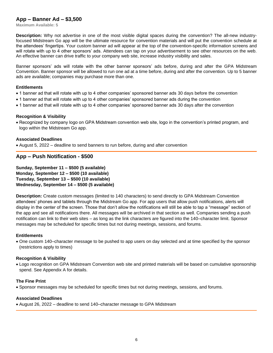# **App – Banner Ad – \$3,500**

**Maximum Available: 5**

**Description:** Why not advertise in one of the most visible digital spaces during the convention? The all-new industryfocused Midstream Go app will be the ultimate resource for convention materials and will put the convention schedule at the attendees' fingertips. Your custom banner ad will appear at the top of the convention-specific information screens and will rotate with up to 4 other sponsors' ads. Attendees can tap on your advertisement to see other resources on the web. An effective banner can drive traffic to your company web site, increase industry visibility and sales.

Banner sponsors' ads will rotate with the other banner sponsors' ads before, during and after the GPA Midstream Convention. Banner sponsor will be allowed to run one ad at a time before, during and after the convention. Up to 5 banner ads are available; companies may purchase more than one.

#### **Entitlements**

- 1 banner ad that will rotate with up to 4 other companies' sponsored banner ads 30 days before the convention
- 1 banner ad that will rotate with up to 4 other companies' sponsored banner ads during the convention
- 1 banner ad that will rotate with up to 4 other companies' sponsored banner ads 30 days after the convention

#### **Recognition & Visibility**

• Recognized by company logo on GPA Midstream convention web site, logo in the convention's printed program, and logo within the Midstream Go app.

#### **Associated Deadlines**

• August 5, 2022 – deadline to send banners to run before, during and after convention

# **App – Push Notification - \$500**

**Sunday, September 11 – \$500 (5 available) Monday, September 12 – \$500 (10 available) Tuesday, September 13 – \$500 (10 available) Wednesday, September 14 – \$500 (5 available)**

**Description:** Create custom messages (limited to 140 characters) to send directly to GPA Midstream Convention attendees' phones and tablets through the Midstream Go app. For app users that allow push notifications, alerts will display in the center of the screen. Those that don't allow the notifications will still be able to tap a "message" section of the app and see all notifications there. All messages will be archived in that section as well. Companies sending a push notification can link to their web sites – as long as the link characters are figured into the 140–character limit. Sponsor messages may be scheduled for specific times but not during meetings, sessions, and forums.

#### **Entitlements**

• One custom 140–character message to be pushed to app users on day selected and at time specified by the sponsor (restrictions apply to times)

#### **Recognition & Visibility**

• Logo recognition on GPA Midstream Convention web site and printed materials will be based on cumulative sponsorship spend. See Appendix A for details.

#### **The Fine Print**

• Sponsor messages may be scheduled for specific times but not during meetings, sessions, and forums.

#### **Associated Deadlines**

• August 26, 2022 – deadline to send 140–character message to GPA Midstream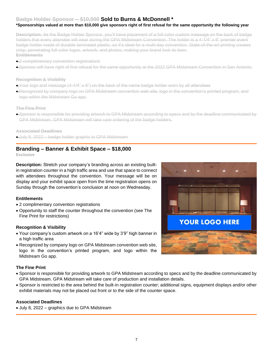# **Badge Holder Sponsor – \$10,000 Sold to Burns & McDonnell \***

# **\*Sponsorships valued at more than \$10,000 give sponsors right of first refusal for the same opportunity the following year**

**Description:** As the Badge Holder Sponsor, you'll have placement of a full color custom message on the back of badge holders that every attendee will wear during the GPA Midstream Convention. The holder is a 4-1/4" x 6" premier event badge holder made of durable laminated plastic, so it's ideal for a multi-day convention. State-of-the-art printing creates crisp, penetrating full-color logos, artwork, and photos, making your brand look its best. **Entitlements**

- 2 complimentary convention registrations
- Sponsor will have right of first refusal for the same opportunity at the 2022 GPA Midstream Convention in San Antonio.

#### **Recognition & Visibility**

- Your logo and message (4-1/4" x 6") on the back of the name badge holder worn by all attendees
- Recognized by company logo on GPA Midstream convention web site, logo in the convention's printed program, and logo within the Midstream Go app.

**The Fine Print**

• Sponsor is responsible for providing artwork to GPA Midstream according to specs and by the deadline communicated by GPA Midstream. GPA Midstream will take care ordering of the badge holders.

**Associated Deadlines**

• July 8, 2022 – badge holder graphic to GPA Midstream

# **Branding – Banner & Exhibit Space – \$18,000**

**Exclusive**

**Description:** Stretch your company's branding across an existing builtin registration counter in a high traffic area and use that space to connect with attendees throughout the convention. Your message will be on display and your exhibit space open from the time registration opens on Sunday through the convention's conclusion at noon on Wednesday.

# **Entitlements**

- 2 complimentary convention registrations
- Opportunity to staff the counter throughout the convention (see The Fine Print for restrictions)

#### **Recognition & Visibility**

- Your company's custom artwork on a 16'4" wide by 3'9" high banner in a high traffic area
- Recognized by company logo on GPA Midstream convention web site, logo in the convention's printed program, and logo within the Midstream Go app.

#### **The Fine Print**

- Sponsor is responsible for providing artwork to GPA Midstream according to specs and by the deadline communicated by GPA Midstream. GPA Midstream will take care of production and installation details.
- Sponsor is restricted to the area behind the built-in registration counter; additional signs, equipment displays and/or other exhibit materials may not be placed out front or to the side of the counter space.

#### **Associated Deadlines**

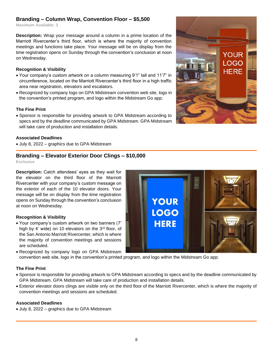# **Branding – Column Wrap, Convention Floor – \$5,500**

**Maximum Available: 3**

**Description:** Wrap your message around a column in a prime location of the Marriott Rivercenter's third floor, which is where the majority of convention meetings and functions take place. Your message will be on display from the time registration opens on Sunday through the convention's conclusion at noon on Wednesday.

# **Recognition & Visibility**

- Your company's custom artwork on a column measuring 9'1" tall and 11'7" in circumference, located on the Marriott Rivercenter's third floor in a high traffic area near registration, elevators and escalators.
- Recognized by company logo on GPA Midstream convention web site, logo in the convention's printed program, and logo within the Midstream Go app.

#### **The Fine Print**

• Sponsor is responsible for providing artwork to GPA Midstream according to specs and by the deadline communicated by GPA Midstream. GPA Midstream will take care of production and installation details.

#### **Associated Deadlines**

• July 8, 2022 – graphics due to GPA Midstream

# **Branding – Elevator Exterior Door Clings – \$10,000**

**Exclusive**

**Description:** Catch attendees' eyes as they wait for the elevator on the third floor of the Marriott Rivercenter with your company's custom message on the exterior of each of the 10 elevator doors. Your message will be on display from the time registration opens on Sunday through the convention's conclusion at noon on Wednesday.

# **Recognition & Visibility**

- Your company's custom artwork on two banners (7' high by 4' wide) on 10 elevators on the 3<sup>rd</sup> floor, of the San Antonio Marriott Rivercenter, which is where the majority of convention meetings and sessions are scheduled.
- Recognized by company logo on GPA Midstream
- convention web site, logo in the convention's printed program, and logo within the Midstream Go app.

# **The Fine Print**

- Sponsor is responsible for providing artwork to GPA Midstream according to specs and by the deadline communicated by GPA Midstream. GPA Midstream will take care of production and installation details.
- Exterior elevator doors clings are visible only on the third floor of the Marriott Rivercenter, which is where the majority of convention meetings and sessions are scheduled.

#### **Associated Deadlines**



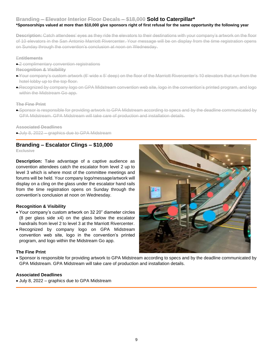# **Branding – Elevator Interior Floor Decals – \$18,000 Sold to Caterpillar\***

# **\*Sponsorships valued at more than \$10,000 give sponsors right of first refusal for the same opportunity the following year**

**Description:** Catch attendees' eyes as they ride the elevators to their destinations with your company's artwork on the floor of 10 elevators in the San Antonio Marriott Rivercenter. Your message will be on display from the time registration opens on Sunday through the convention's conclusion at noon on Wednesday.

E**ntitlements**

- 2 complimentary convention registrations
- **Recognition & Visibility**
- Your company's custom artwork (6' wide x 5' deep) on the floor of the Marriott Rivercenter's 10 elevators that run from the hotel lobby up to the top floor.
- Recognized by company logo on GPA Midstream convention web site, logo in the convention's printed program, and logo within the Midstream Go app.

**The Fine Print**

• Sponsor is responsible for providing artwork to GPA Midstream according to specs and by the deadline communicated by GPA Midstream. GPA Midstream will take care of production and installation details.

**Associated Deadlines**

• July 8, 2022 – graphics due to GPA Midstream

# **Branding – Escalator Clings – \$10,000**

**Exclusive**

**Description:** Take advantage of a captive audience as convention attendees catch the escalator from level 2 up to level 3 which is where most of the committee meetings and forums will be held. Your company logo/message/artwork will display on a cling on the glass under the escalator hand rails from the time registration opens on Sunday through the convention's conclusion at noon on Wednesday.

#### **Recognition & Visibility**

- Your company's custom artwork on 32 20" diameter circles (8 per glass side x4) on the glass below the escalator handrails from level 2 to level 3 at the Marriott Rivercenter.
- Recognized by company logo on GPA Midstream convention web site, logo in the convention's printed program, and logo within the Midstream Go app.

# **The Fine Print**

• Sponsor is responsible for providing artwork to GPA Midstream according to specs and by the deadline communicated by GPA Midstream. GPA Midstream will take care of production and installation details.

# **Associated Deadlines**

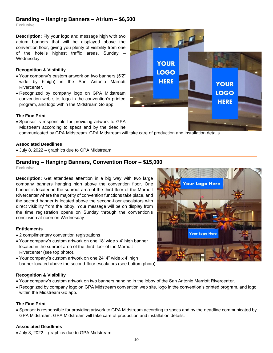# **Branding – Hanging Banners – Atrium – \$6,500**

**Exclusive**

**Description:** Fly your logo and message high with two atrium banners that will be displayed above the convention floor, giving you plenty of visibility from one of the hotel's highest traffic areas, Sunday – Wednesday.

#### **Recognition & Visibility**

- Your company's custom artwork on two banners (5'2" wide by 6'high) in the San Antonio Marriott Rivercenter.
- Recognized by company logo on GPA Midstream convention web site, logo in the convention's printed program, and logo within the Midstream Go app.

#### **The Fine Print**

• Sponsor is responsible for providing artwork to GPA Midstream according to specs and by the deadline communicated by GPA Midstream. GPA Midstream will take care of production and installation details.

#### **Associated Deadlines**

• July 8, 2022 – graphics due to GPA Midstream

# **Branding – Hanging Banners, Convention Floor – \$15,000**

**Exclusive**

**Description:** Get attendees attention in a big way with two large company banners hanging high above the convention floor. One banner is located in the sunroof area of the third floor of the Marriott Rivercenter where the majority of convention functions take place, and the second banner is located above the second-floor escalators with direct visibility from the lobby. Your message will be on display from the time registration opens on Sunday through the convention's conclusion at noon on Wednesday.

#### **Entitlements**

- 2 complimentary convention registrations
- Your company's custom artwork on one 18' wide x 4' high banner located in the sunroof area of the third floor of the Marriott Rivercenter (see top photo).
- Your company's custom artwork on one 24' 4" wide x 4' high banner located above the second-floor escalators (see bottom photo)

# **Recognition & Visibility**

- Your company's custom artwork on two banners hanging in the lobby of the San Antonio Marriott Rivercenter.
- Recognized by company logo on GPA Midstream convention web site, logo in the convention's printed program, and logo within the Midstream Go app.

#### **The Fine Print**

• Sponsor is responsible for providing artwork to GPA Midstream according to specs and by the deadline communicated by GPA Midstream. GPA Midstream will take care of production and installation details.

# **Associated Deadlines**



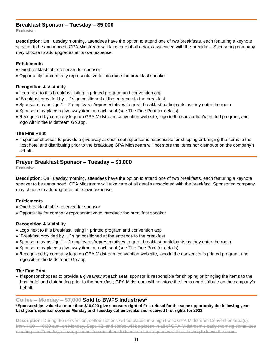# **Breakfast Sponsor – Tuesday – \$5,000**

**Exclusive**

**Description:** On Tuesday morning, attendees have the option to attend one of two breakfasts, each featuring a keynote speaker to be announced. GPA Midstream will take care of all details associated with the breakfast. Sponsoring company may choose to add upgrades at its own expense.

#### **Entitlements**

- One breakfast table reserved for sponsor
- Opportunity for company representative to introduce the breakfast speaker

#### **Recognition & Visibility**

- Logo next to this breakfast listing in printed program and convention app
- "Breakfast provided by …" sign positioned at the entrance to the breakfast
- Sponsor may assign 1 2 employees/representatives to greet breakfast participants as they enter the room
- Sponsor may place a giveaway item on each seat (see The Fine Print for details)
- Recognized by company logo on GPA Midstream convention web site, logo in the convention's printed program, and logo within the Midstream Go app.

#### **The Fine Print**

• If sponsor chooses to provide a giveaway at each seat, sponsor is responsible for shipping or bringing the items to the host hotel and distributing prior to the breakfast; GPA Midstream will not store the items nor distribute on the company's behalf.

# **Prayer Breakfast Sponsor – Tuesday – \$3,000**

**Exclusive**

**Description:** On Tuesday morning, attendees have the option to attend one of two breakfasts, each featuring a keynote speaker to be announced. GPA Midstream will take care of all details associated with the breakfast. Sponsoring company may choose to add upgrades at its own expense.

#### **Entitlements**

- One breakfast table reserved for sponsor
- Opportunity for company representative to introduce the breakfast speaker

# **Recognition & Visibility**

- Logo next to this breakfast listing in printed program and convention app
- "Breakfast provided by …" sign positioned at the entrance to the breakfast
- Sponsor may assign 1 2 employees/representatives to greet breakfast participants as they enter the room
- Sponsor may place a giveaway item on each seat (see The Fine Print for details)
- Recognized by company logo on GPA Midstream convention web site, logo in the convention's printed program, and logo within the Midstream Go app.

#### **The Fine Print**

• If sponsor chooses to provide a giveaway at each seat, sponsor is responsible for shipping or bringing the items to the host hotel and distributing prior to the breakfast; GPA Midstream will not store the items nor distribute on the company's behalf.

# **Coffee – Monday – \$7,000 Sold to BWFS Industries\***

**\*Sponsorships valued at more than \$10,000 give sponsors right of first refusal for the same opportunity the following year. Last year's sponsor covered Monday and Tuesday coffee breaks and received first rights for 2022.**

**Description:** During the convention, coffee stations will be placed in a high traffic GPA Midstream Convention area(s) from 7:30 – 10:30 a.m. on Monday, Sept. 12, and coffee will be placed in all of GPA Midstream's early-morning committee meetings on Tuesday, allowing committee members to focus on their agendas without having to leave the room.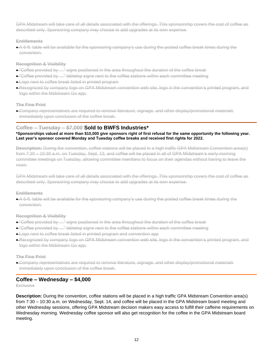GPA Midstream will take care of all details associated with the offerings. This sponsorship covers the cost of coffee as described only. Sponsoring company may choose to add upgrades at its own expense.

#### **Entitlements**

• A 6-ft. table will be available for the sponsoring company's use during the posted coffee break times during the convention.

#### **Recognition & Visibility**

- "Coffee provided by …" signs positioned in the area throughout the duration of the coffee break
- $\bullet$  "Coffee provided by …" tabletop signs next to the coffee stations within each committee meeting
- Logo next to coffee break listed in printed program
- Recognized by company logo on GPA Midstream convention web site, logo in the convention's printed program, and logo within the Midstream Go app.

#### **The Fine Print**

• Company representatives are required to remove literature, signage, and other display/promotional materials immediately upon conclusion of the coffee break.

# **Coffee – Tuesday – \$7,000 Sold to BWFS Industries\***

#### **\*Sponsorships valued at more than \$10,000 give sponsors right of first refusal for the same opportunity the following year. Last year's sponsor covered Monday and Tuesday coffee breaks and received first rights for 2022.**

**Description:** During the convention, coffee stations will be placed in a high traffic GPA Midstream Convention area(s) from 7:30 – 10:30 a.m. on Tuesday, Sept. 13, and coffee will be placed in all of GPA Midstream's early-morning committee meetings on Tuesday, allowing committee members to focus on their agendas without having to leave the room.

GPA Midstream will take care of all details associated with the offerings. This sponsorship covers the cost of coffee as described only. Sponsoring company may choose to add upgrades at its own expense.

#### **Entitlements**

• A 6-ft. table will be available for the sponsoring company's use during the posted coffee break times during the convention.

#### **Recognition & Visibility**

- $\bullet$  "Coffee provided by  $\ldots$ " signs positioned in the area throughout the duration of the coffee break
- $\bullet$  "Coffee provided by ..." tabletop signs next to the coffee stations within each committee meeting
- Logo next to coffee break listed in printed program and convention app
- Recognized by company logo on GPA Midstream convention web site, logo in the convention's printed program, and logo within the Midstream Go app.

#### **The Fine Print**

• Company representatives are required to remove literature, signage, and other display/promotional materials immediately upon conclusion of the coffee break.

# **Coffee – Wednesday – \$4,000**

**Exclusive**

**Description:** During the convention, coffee stations will be placed in a high traffic GPA Midstream Convention area(s) from 7:30 – 10:30 a.m. on Wednesday, Sept. 14, and coffee will be placed in the GPA Midstream board meeting and other Wednesday sessions, offering GPA Midstream decision makers easy access to fulfill their caffeine requirements on Wednesday morning. Wednesday coffee sponsor will also get recognition for the coffee in the GPA Midstream board meeting.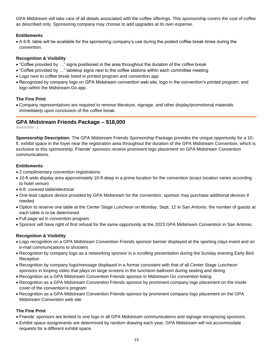GPA Midstream will take care of all details associated with the coffee offerings. This sponsorship covers the cost of coffee as described only. Sponsoring company may choose to add upgrades at its own expense.

# **Entitlements**

• A 6-ft. table will be available for the sponsoring company's use during the posted coffee break times during the convention.

# **Recognition & Visibility**

- "Coffee provided by …" signs positioned in the area throughout the duration of the coffee break
- "Coffee provided by …" tabletop signs next to the coffee stations within each committee meeting
- Logo next to coffee break listed in printed program and convention app
- Recognized by company logo on GPA Midstream convention web site, logo in the convention's printed program, and logo within the Midstream Go app.

# **The Fine Print**

• Company representatives are required to remove literature, signage, and other display/promotional materials immediately upon conclusion of the coffee break.

# **GPA Midstream Friends Package – \$18,000**

**Available: 1**

**Sponsorship Description:** The GPA Midstream Friends Sponsorship Package provides the unique opportunity for a 10 ft. exhibit space in the foyer near the registration area throughout the duration of the GPA Midstream Convention, which is exclusive to this sponsorship. Friends' sponsors receive prominent logo placement on GPA Midstream Convention communications.

# **Entitlements**

- 2 complimentary convention registrations
- 10-ft wide display area approximately 10-ft deep in a prime location for the convention (exact location varies according to hotel venue)
- 6-ft. covered table/electrical
- One lead capture device provided by GPA Midstream for the convention; sponsor may purchase additional devices if needed
- Option to reserve one table at the Center Stage Luncheon on Monday, Sept. 12 in San Antonio; the number of guests at each table is to be determined.
- Full page ad in convention program.
- Sponsor will have right of first refusal for the same opportunity at the 2023 GPA Midstream Convention in San Antonio.

# **Recognition & Visibility**

- Logo recognition on a GPA Midstream Convention Friends sponsor banner displayed at the sporting clays event and on e-mail communications to shooters
- Recognition by company logo as a networking sponsor in a scrolling presentation during the Sunday evening Early Bird **Reception**
- Recognition by company logo/message displayed in a format consistent with that of all Center Stage Luncheon sponsors in looping video that plays on large screens in the luncheon ballroom during seating and dining
- Recognition as a GPA Midstream Convention Friends sponsor in Midstream Go convention listing
- Recognition as a GPA Midstream Convention Friends sponsor by prominent company logo placement on the inside cover of the convention's program
- Recognition as a GPA Midstream Convention Friends sponsor by prominent company logo placement on the GPA Midstream Convention web site

# **The Fine Print**

- Friends' sponsors are limited to one logo in all GPA Midstream communications and signage recognizing sponsors.
- Exhibit space assignments are determined by random drawing each year; GPA Midstream will not accommodate requests for a different exhibit space.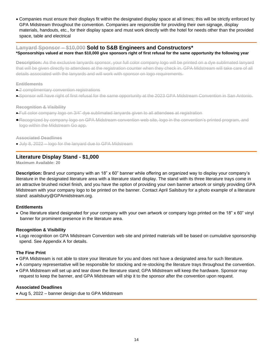• Companies must ensure their displays fit within the designated display space at all times; this will be strictly enforced by GPA Midstream throughout the convention. Companies are responsible for providing their own signage, display materials, handouts, etc., for their display space and must work directly with the hotel for needs other than the provided space, table and electrical

# **Lanyard Sponsor – \$10,000 Sold to S&B Engineers and Constructors\***

#### **\*Sponsorships valued at more than \$10,000 give sponsors right of first refusal for the same opportunity the following year**

**Description:** As the exclusive lanyards sponsor, your full color company logo will be printed on a dye sublimated lanyard that will be given directly to attendees at the registration counter when they check in. GPA Midstream will take care of all details associated with the lanyards and will work with sponsor on logo requirements.

#### **Entitlements**

- 2 complimentary convention registrations
- Sponsor will have right of first refusal for the same opportunity at the 2023 GPA Midstream Convention in San Antonio.

#### **Recognition & Visibility**

- Full color company logo on 3/4" dye sublimated lanyards given to all attendees at registration
- Recognized by company logo on GPA Midstream convention web site, logo in the convention's printed program, and logo within the Midstream Go app.

**Associated Deadlines**

• July 8, 2022 – logo for the lanyard due to GPA Midstream

# **Literature Display Stand - \$1,000**

**Maximum Available: 20**

**Description:** Brand your company with an 18" x 60" banner while offering an organized way to display your company's literature in the designated literature area with a literature stand display. The stand with its three literature trays come in an attractive brushed nickel finish, and you have the option of providing your own banner artwork or simply providing GPA Midstream with your company logo to be printed on the banner. Contact April Sailsbury for a photo example of a literature stand: asailsbury@GPAmidstream.org.

# **Entitlements**

• One literature stand designated for your company with your own artwork or company logo printed on the 18" x 60" vinyl banner for prominent presence in the literature area.

# **Recognition & Visibility**

• Logo recognition on GPA Midstream Convention web site and printed materials will be based on cumulative sponsorship spend. See Appendix A for details.

# **The Fine Print**

- GPA Midstream is not able to store your literature for you and does not have a designated area for such literature.
- A company representative will be responsible for stocking and re-stocking the literature trays throughout the convention.
- GPA Midstream will set up and tear down the literature stand; GPA Midstream will keep the hardware. Sponsor may request to keep the banner, and GPA Midstream will ship it to the sponsor after the convention upon request.

# **Associated Deadlines**

• Aug 5, 2022 – banner design due to GPA Midstream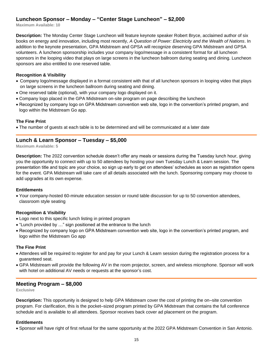# **Luncheon Sponsor – Monday – "Center Stage Luncheon" – \$2,000**

**Maximum Available: 10**

**Description:** The Monday Center Stage Luncheon will feature keynote speaker Robert Bryce, acclaimed author of six books on energy and innovation, including most recently, *A Question of Power: Electricity and the Wealth of Nations*. In addition to the keynote presentation, GPA Midstream and GPSA will recognize deserving GPA Midstream and GPSA volunteers. A luncheon sponsorship includes your company logo/message in a consistent format for all luncheon sponsors in the looping video that plays on large screens in the luncheon ballroom during seating and dining. Luncheon sponsors are also entitled to one reserved table.

#### **Recognition & Visibility**

- Company logo/message displayed in a format consistent with that of all luncheon sponsors in looping video that plays on large screens in the luncheon ballroom during seating and dining.
- One reserved table (optional), with your company logo displayed on it.
- Company logo placed in the GPA Midstream on-site program on page describing the luncheon
- Recognized by company logo on GPA Midstream convention web site, logo in the convention's printed program, and logo within the Midstream Go app.

#### **The Fine Print**

• The number of guests at each table is to be determined and will be communicated at a later date

# **Lunch & Learn Sponsor – Tuesday – \$5,000**

**Maximum Available: 5**

**Description:** The 2022 convention schedule doesn't offer any meals or sessions during the Tuesday lunch hour, giving you the opportunity to connect with up to 50 attendees by hosting your own Tuesday Lunch & Learn session. The presentation title and topic are your choice, so sign up early to get on attendees' schedules as soon as registration opens for the event. GPA Midstream will take care of all details associated with the lunch. Sponsoring company may choose to add upgrades at its own expense.

#### **Entitlements**

• Your company-hosted 60-minute education session or round table discussion for up to 50 convention attendees, classroom style seating

#### **Recognition & Visibility**

- Logo next to this specific lunch listing in printed program
- "Lunch provided by …" sign positioned at the entrance to the lunch
- Recognized by company logo on GPA Midstream convention web site, logo in the convention's printed program, and logo within the Midstream Go app

#### **The Fine Print**

- Attendees will be required to register for and pay for your Lunch & Learn session during the registration process for a guaranteed seat.
- GPA Midstream will provide the following AV in the room projector, screen, and wireless microphone. Sponsor will work with hotel on additional AV needs or requests at the sponsor's cost.

# **Meeting Program – \$8,000**

**Exclusive**

**Description:** This opportunity is designed to help GPA Midstream cover the cost of printing the on–site convention program. For clarification, this is the pocket–sized program printed by GPA Midstream that contains the full conference schedule and is available to all attendees. Sponsor receives back cover ad placement on the program.

#### **Entitlements**

• Sponsor will have right of first refusal for the same opportunity at the 2022 GPA Midstream Convention in San Antonio.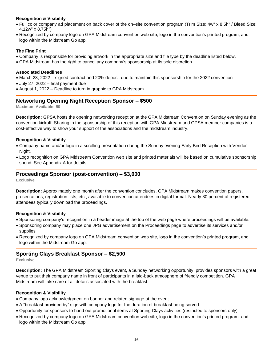# **Recognition & Visibility**

- Full color company ad placement on back cover of the on–site convention program (Trim Size: 4w" x 8.5h" / Bleed Size: 4.12w" x 8.75h")
- Recognized by company logo on GPA Midstream convention web site, logo in the convention's printed program, and logo within the Midstream Go app.

# **The Fine Print**

- Company is responsible for providing artwork in the appropriate size and file type by the deadline listed below.
- GPA Midstream has the right to cancel any company's sponsorship at its sole discretion.

#### **Associated Deadlines**

- March 23, 2022 signed contract and 20% deposit due to maintain this sponsorship for the 2022 convention
- July 27, 2022 final payment due
- August 1, 2022 Deadline to turn in graphic to GPA Midstream

# **Networking Opening Night Reception Sponsor – \$500**

**Maximum Available: 50**

**Description:** GPSA hosts the opening networking reception at the GPA Midstream Convention on Sunday evening as the convention kickoff. Sharing in the sponsorship of this reception with GPA Midstream and GPSA member companies is a cost-effective way to show your support of the associations and the midstream industry.

# **Recognition & Visibility**

- Company name and/or logo in a scrolling presentation during the Sunday evening Early Bird Reception with Vendor Night.
- Logo recognition on GPA Midstream Convention web site and printed materials will be based on cumulative sponsorship spend. See Appendix A for details.

# **Proceedings Sponsor (post-convention) – \$3,000**

**Exclusive**

**Description:** Approximately one month after the convention concludes, GPA Midstream makes convention papers, presentations, registration lists, etc., available to convention attendees in digital format. Nearly 80 percent of registered attendees typically download the proceedings.

# **Recognition & Visibility**

- Sponsoring company's recognition in a header image at the top of the web page where proceedings will be available.
- Sponsoring company may place one JPG advertisement on the Proceedings page to advertise its services and/or supplies
- Recognized by company logo on GPA Midstream convention web site, logo in the convention's printed program, and logo within the Midstream Go app.

# **Sporting Clays Breakfast Sponsor – \$2,500**

**Exclusive**

**Description:** The GPA Midstream Sporting Clays event, a Sunday networking opportunity, provides sponsors with a great venue to put their company name in front of participants in a laid-back atmosphere of friendly competition. GPA Midstream will take care of all details associated with the breakfast.

# **Recognition & Visibility**

- Company logo acknowledgment on banner and related signage at the event
- A "breakfast provided by" sign with company logo for the duration of breakfast being served
- Opportunity for sponsors to hand out promotional items at Sporting Clays activities (restricted to sponsors only)
- Recognized by company logo on GPA Midstream convention web site, logo in the convention's printed program, and logo within the Midstream Go app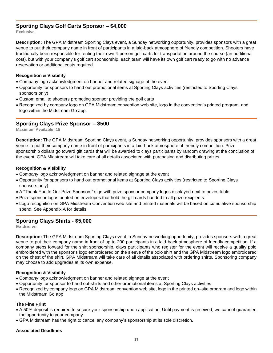# **Sporting Clays Golf Carts Sponsor – \$4,000**

**Exclusive**

**Description:** The GPA Midstream Sporting Clays event, a Sunday networking opportunity, provides sponsors with a great venue to put their company name in front of participants in a laid-back atmosphere of friendly competition. Shooters have traditionally been responsible for renting their own 4-person golf carts for transportation around the course (an additional cost), but with your company's golf cart sponsorship, each team will have its own golf cart ready to go with no advance reservation or additional costs required.

#### **Recognition & Visibility**

- Company logo acknowledgment on banner and related signage at the event
- Opportunity for sponsors to hand out promotional items at Sporting Clays activities (restricted to Sporting Clays sponsors only)
- Custom email to shooters promoting sponsor providing the golf carts
- Recognized by company logo on GPA Midstream convention web site, logo in the convention's printed program, and logo within the Midstream Go app.

# **Sporting Clays Prize Sponsor – \$500**

**Maximum Available: 15**

**Description:** The GPA Midstream Sporting Clays event, a Sunday networking opportunity, provides sponsors with a great venue to put their company name in front of participants in a laid-back atmosphere of friendly competition. Prize sponsorship dollars go toward gift cards that will be awarded to clays participants by random drawing at the conclusion of the event. GPA Midstream will take care of all details associated with purchasing and distributing prizes.

#### **Recognition & Visibility**

- Company logo acknowledgment on banner and related signage at the event
- Opportunity for sponsors to hand out promotional items at Sporting Clays activities (restricted to Sporting Clays sponsors only)
- A "Thank You to Our Prize Sponsors" sign with prize sponsor company logos displayed next to prizes table
- Prize sponsor logos printed on envelopes that hold the gift cards handed to all prize recipients.
- Logo recognition on GPA Midstream Convention web site and printed materials will be based on cumulative sponsorship spend. See Appendix A for details.

# **Sporting Clays Shirts - \$5,000**

**Exclusive**

**Description:** The GPA Midstream Sporting Clays event, a Sunday networking opportunity, provides sponsors with a great venue to put their company name in front of up to 200 participants in a laid-back atmosphere of friendly competition. If a company steps forward for the shirt sponsorship, clays participants who register for the event will receive a quality polo embroidered with the sponsor's logo embroidered on the sleeve of the polo shirt and the GPA Midstream logo embroidered on the chest of the shirt. GPA Midstream will take care of all details associated with ordering shirts. Sponsoring company may choose to add upgrades at its own expense.

#### **Recognition & Visibility**

- Company logo acknowledgment on banner and related signage at the event
- Opportunity for sponsor to hand out shirts and other promotional items at Sporting Clays activities
- Recognized by company logo on GPA Midstream convention web site, logo in the printed on–site program and logo within the Midstream Go app

#### **The Fine Print**

- A 50% deposit is required to secure your sponsorship upon application. Until payment is received, we cannot guarantee the opportunity to your company.
- GPA Midstream has the right to cancel any company's sponsorship at its sole discretion.

#### **Associated Deadlines**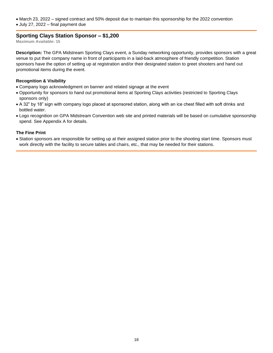- March 23, 2022 signed contract and 50% deposit due to maintain this sponsorship for the 2022 convention
- July 27, 2022 final payment due

# **Sporting Clays Station Sponsor – \$1,200**

**Maximum Available: 15**

**Description:** The GPA Midstream Sporting Clays event, a Sunday networking opportunity, provides sponsors with a great venue to put their company name in front of participants in a laid-back atmosphere of friendly competition. Station sponsors have the option of setting up at registration and/or their designated station to greet shooters and hand out promotional items during the event.

#### **Recognition & Visibility**

- Company logo acknowledgment on banner and related signage at the event
- Opportunity for sponsors to hand out promotional items at Sporting Clays activities (restricted to Sporting Clays sponsors only)
- A 32" by 18" sign with company logo placed at sponsored station, along with an ice chest filled with soft drinks and bottled water.
- Logo recognition on GPA Midstream Convention web site and printed materials will be based on cumulative sponsorship spend. See Appendix A for details.

#### **The Fine Print**

• Station sponsors are responsible for setting up at their assigned station prior to the shooting start time. Sponsors must work directly with the facility to secure tables and chairs, etc., that may be needed for their stations.